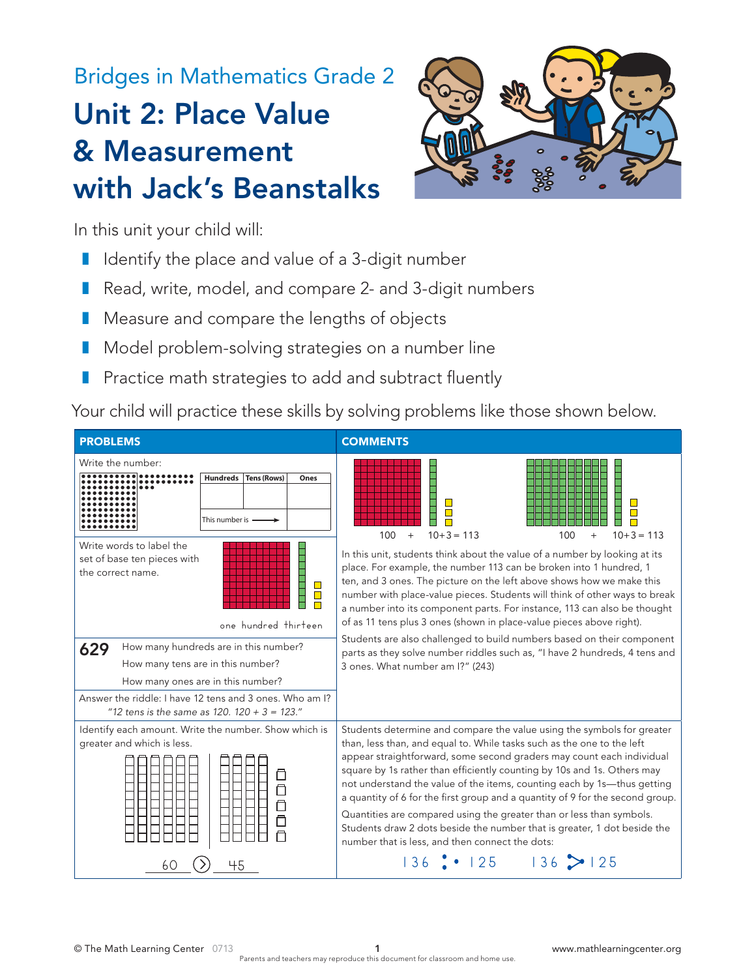# Bridges in Mathematics Grade 2 Unit 2: Place Value & Measurement with Jack's Beanstalks



In this unit your child will:

- Identify the place and value of a 3-digit number
- Read, write, model, and compare 2- and 3-digit numbers
- Measure and compare the lengths of objects
- Model problem-solving strategies on a number line Unit 2 Module 1 Unit 2 Module 1
- **1** Practice math strategies to add and subtract fluently **Counting Rows Att 2 5 Hundreds Tens (Rows) Ones Practice math strates**

Your child will practice these skills by solving problems like those shown below.

| <b>PROBLEMS</b>                                                                                                                                                                                                                     | <b>COMMENTS</b>                                                                                                                                                                                                                                                                                                                                                                                                                                                                                                                                                                                                                                                         |
|-------------------------------------------------------------------------------------------------------------------------------------------------------------------------------------------------------------------------------------|-------------------------------------------------------------------------------------------------------------------------------------------------------------------------------------------------------------------------------------------------------------------------------------------------------------------------------------------------------------------------------------------------------------------------------------------------------------------------------------------------------------------------------------------------------------------------------------------------------------------------------------------------------------------------|
| Write the number:<br>Hundreds   Tens (Rows)<br>Ones<br>This number is $-$                                                                                                                                                           | $10+3=113$<br>$10+3=113$<br>100<br>$+$<br>100                                                                                                                                                                                                                                                                                                                                                                                                                                                                                                                                                                                                                           |
| Write words to label the<br>set of base ten pieces with<br>the correct name.<br><b>The Second Second</b><br>$\Box$<br>one hundred thirteen                                                                                          | In this unit, students think about the value of a number by looking at its<br>place. For example, the number 113 can be broken into 1 hundred, 1<br>ten, and 3 ones. The picture on the left above shows how we make this<br>number with place-value pieces. Students will think of other ways to break<br>a number into its component parts. For instance, 113 can also be thought<br>of as 11 tens plus 3 ones (shown in place-value pieces above right).                                                                                                                                                                                                             |
| How many hundreds are in this number?<br>629<br>How many tens are in this number?<br>How many ones are in this number?<br>Answer the riddle: I have 12 tens and 3 ones. Who am I?<br>"12 tens is the same as $120.120 + 3 = 123$ ." | Students are also challenged to build numbers based on their component<br>parts as they solve number riddles such as, "I have 2 hundreds, 4 tens and<br>3 ones. What number am I?" (243)                                                                                                                                                                                                                                                                                                                                                                                                                                                                                |
| Identify each amount. Write the number. Show which is<br>greater and which is less.                                                                                                                                                 | Students determine and compare the value using the symbols for greater<br>than, less than, and equal to. While tasks such as the one to the left<br>appear straightforward, some second graders may count each individual<br>square by 1s rather than efficiently counting by 10s and 1s. Others may<br>not understand the value of the items, counting each by 1s-thus getting<br>a quantity of 6 for the first group and a quantity of 9 for the second group.<br>Quantities are compared using the greater than or less than symbols.<br>Students draw 2 dots beside the number that is greater, 1 dot beside the<br>number that is less, and then connect the dots: |
| 45<br>60                                                                                                                                                                                                                            | $136$ : $125$ $136$ $> 125$                                                                                                                                                                                                                                                                                                                                                                                                                                                                                                                                                                                                                                             |